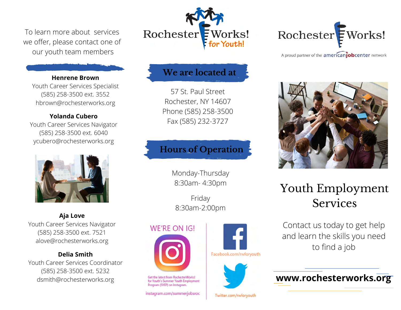To learn more about services we offer, please contact one of our youth team members

#### **Henrene Brown**

Youth Career Services Specialist (585) 258-3500 ext. 3552 hbrown@rochesterworks.org

#### **Yolanda Cubero**

Youth Career Services Navigator (585) 258-3500 ext. 6040 ycubero@rochesterworks.org



**Aja Love** Youth Career Services Navigator (585) 258-3500 ext. 7521 alove@rochesterworks.org

#### **Delia Smith**

Youth Career Services Coordinator (585) 258-3500 ext. 5232 dsmith@rochesterworks.org



### **We are located at**

57 St. Paul Street Rochester, NY 14607 Phone (585) 258-3500 Fax (585) 232-3727

# **Hours of Operation**

Monday-Thursday 8:30am- 4:30pm

Friday 8:30am-2:00pm

Facebook.com/rwforyouth

Twitter.com/rwforyouth

### **WE'RE ON IG!**



Get the latest from RochesterWorks! for Youth's Summer Youth Employment Program (SYEP) on Instagram.

instagram.com/summerjobsroc





# Youth Employment Services

Contact us today to get help and learn the skills you need to find a job

### **www.rochesterworks.org**